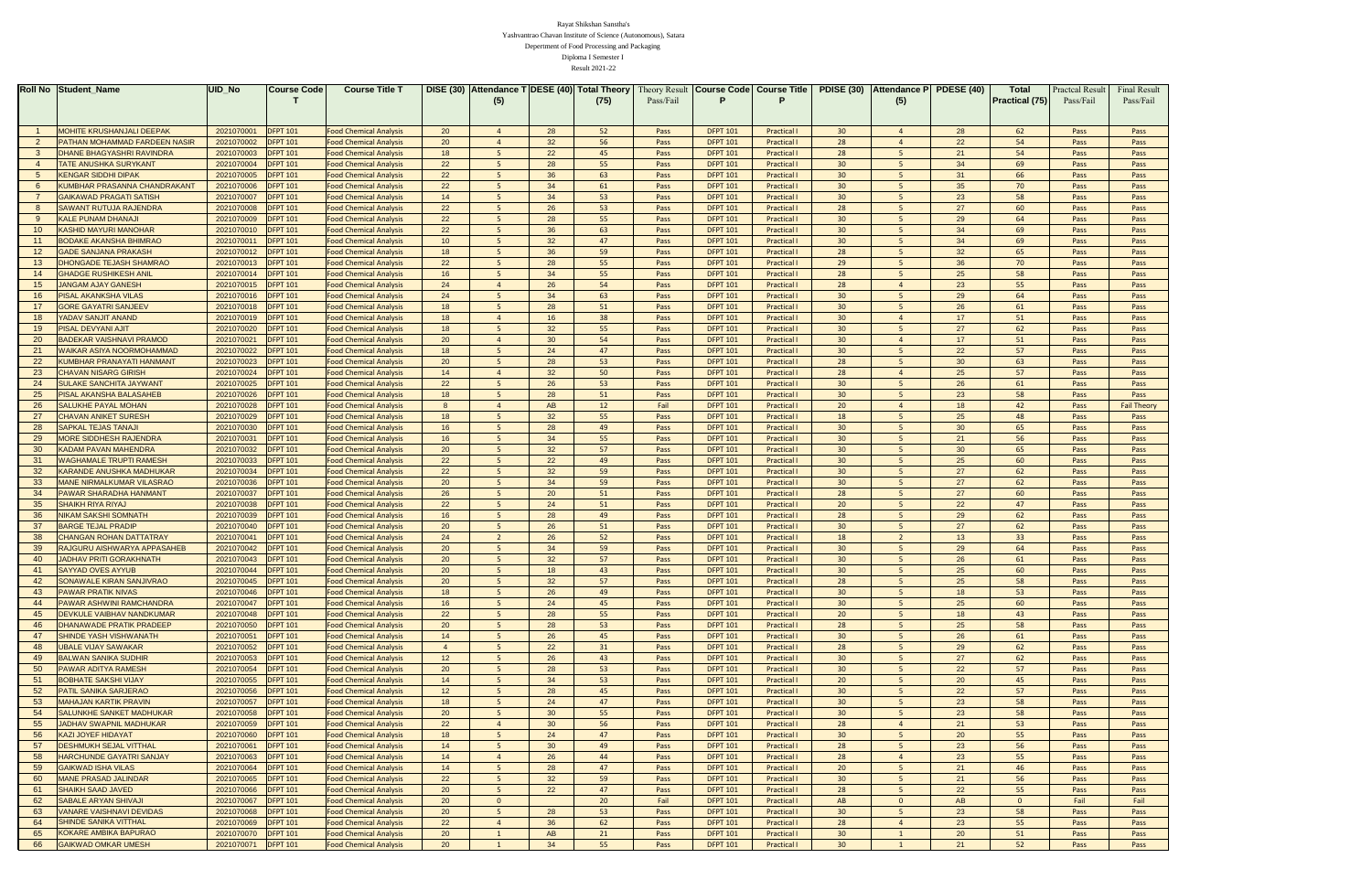|                | <b>Roll No Student_Name</b>                                     | UID No                   | <b>Course Code</b>                 | <b>Course Title T</b>                                          |                 | DISE (30) Attendance T DESE (40) Total Theory |                 |                 |              |                                    | Theory Result   Course Code   Course Title | <b>PDISE (30)</b>     | Attendance P PDESE (40) |                 | <b>Total</b>          | <b>Practcal Result</b> | <b>Final Result</b> |
|----------------|-----------------------------------------------------------------|--------------------------|------------------------------------|----------------------------------------------------------------|-----------------|-----------------------------------------------|-----------------|-----------------|--------------|------------------------------------|--------------------------------------------|-----------------------|-------------------------|-----------------|-----------------------|------------------------|---------------------|
|                |                                                                 |                          |                                    |                                                                |                 | (5)                                           |                 | (75)            | Pass/Fail    |                                    |                                            |                       | (5)                     |                 | <b>Practical (75)</b> | Pass/Fail              | Pass/Fail           |
|                |                                                                 |                          |                                    |                                                                |                 |                                               |                 |                 |              |                                    |                                            |                       |                         |                 |                       |                        |                     |
|                |                                                                 |                          |                                    |                                                                |                 |                                               |                 |                 |              |                                    |                                            |                       |                         |                 |                       |                        |                     |
|                | <b>MOHITE KRUSHANJALI DEEPAK</b>                                | 2021070001               | <b>DFPT 101</b>                    | <b>Food Chemical Analysis</b>                                  | 20              |                                               | 28              | 52              | Pass         | <b>DFPT 101</b>                    | Practical                                  | 30 <sup>°</sup>       |                         | 28              | 62                    | Pass                   | Pass                |
| $\overline{2}$ | <b>PATHAN MOHAMMAD FARDEEN NASIR</b>                            | 2021070002               | <b>DFPT 101</b>                    | <b>Food Chemical Analysis</b>                                  | 20              |                                               | 32 <sup>2</sup> | 56              | Pass         | <b>DFPT 101</b>                    | Practical                                  | 28                    |                         | 22              | 54                    | Pass                   | Pass                |
| -3             | <b>DHANE BHAGYASHRI RAVINDRA</b>                                | 2021070003               | <b>DFPT 101</b>                    | <b>Food Chemical Analysis</b>                                  | 18              |                                               | 22              | 45              | Pass         | <b>DFPT 101</b>                    | Practical                                  | 28                    |                         | 21              | 54                    | Pass                   | Pass                |
|                | <b>TATE ANUSHKA SURYKANT</b>                                    | 2021070004               | <b>DFPT 101</b>                    | <b>Food Chemical Analysis</b>                                  | 22              |                                               | 28              | 55              | Pass         | <b>DFPT 101</b>                    | Practical                                  | 30 <sup>°</sup>       |                         | 34              | 69                    | Pass                   | Pass                |
|                | <b>KENGAR SIDDHI DIPAK</b>                                      | 2021070005               | <b>DFPT 101</b>                    | <b>Food Chemical Analysis</b>                                  | 22              |                                               | 36              | 63              | Pass         | <b>DFPT 101</b>                    | Practical                                  | 30 <sup>°</sup>       |                         | 31              | 66                    | Pass                   | Pass                |
|                | KUMBHAR PRASANNA CHANDRAKANT                                    | 2021070006               | <b>DFPT 101</b>                    | <b>Food Chemical Analysis</b>                                  | 22              | 5<br>5                                        | 34              | 61              | Pass         | <b>DFPT 101</b>                    | Practical                                  | 30 <sup>°</sup>       |                         | 35 <sup>5</sup> | 70                    | Pass                   | Pass                |
|                | <b>GAIKAWAD PRAGATI SATISH</b>                                  | 2021070007               | <b>DFPT 101</b>                    | <b>Food Chemical Analysis</b>                                  | 14<br>22        |                                               | 34              | 53              | Pass         | <b>DFPT 101</b><br><b>DFPT 101</b> | Practical                                  | 30 <sup>°</sup><br>28 |                         | 23              | 58<br>60              | Pass                   | Pass                |
|                | <b>SAWANT RUTUJA RAJENDRA</b><br><b>KALE PUNAM DHANAJI</b>      | 2021070008<br>2021070009 | <b>DFPT 101</b><br><b>DFPT 101</b> | <b>Food Chemical Analysis</b><br><b>Food Chemical Analysis</b> | 22              |                                               | 26<br>28        | 53<br>55        | Pass<br>Pass | <b>DFPT 101</b>                    | Practical<br>Practical                     | 30 <sup>°</sup>       |                         | 27<br>29        | 64                    | Pass<br>Pass           | Pass<br>Pass        |
|                | <b>KASHID MAYURI MANOHAR</b>                                    | 2021070010               | <b>DFPT 101</b>                    | <b>Food Chemical Analysis</b>                                  | 22              |                                               | 36              | 63              | Pass         | <b>DFPT 101</b>                    | Practical                                  | 30 <sup>°</sup>       |                         | 34              | 69                    | Pass                   | Pass                |
|                | <b>BODAKE AKANSHA BHIMRAO</b>                                   | 2021070011               | <b>DFPT 101</b>                    | <b>Food Chemical Analysis</b>                                  | 10 <sup>°</sup> |                                               | 32 <sup>2</sup> | 47              | Pass         | <b>DFPT 101</b>                    | Practical                                  | 30 <sup>°</sup>       |                         | 34              | 69                    | Pass                   | Pass                |
|                | <b>GADE SANJANA PRAKASH</b>                                     | 2021070012               | <b>DFPT 101</b>                    | <b>Food Chemical Analysis</b>                                  | 18              |                                               | 36              | 59              | Pass         | <b>DFPT 101</b>                    | Practical                                  | 28                    |                         | 32 <sub>2</sub> | 65                    | Pass                   | Pass                |
| 13             | <b>DHONGADE TEJASH SHAMRAO</b>                                  | 2021070013               | <b>DFPT 101</b>                    | <b>Food Chemical Analysis</b>                                  | 22              |                                               | 28              | 55              | Pass         | <b>DFPT 101</b>                    | Practical                                  | 29                    |                         | 36              | 70                    | <b>Pass</b>            | Pass                |
| 14             | <b>GHADGE RUSHIKESH ANIL</b>                                    | 2021070014               | <b>DFPT 101</b>                    | <b>Food Chemical Analysis</b>                                  | 16              |                                               | 34              | 55              | Pass         | <b>DFPT 101</b>                    | Practical                                  | 28                    |                         | 25              | 58                    | Pass                   | Pass                |
| 15             | <b>JANGAM AJAY GANESH</b>                                       | 2021070015               | <b>DFPT 101</b>                    | <b>Food Chemical Analysis</b>                                  | 24              |                                               | 26              | 54              | Pass         | <b>DFPT 101</b>                    | Practical                                  | 28                    |                         | 23              | 55                    | Pass                   | Pass                |
|                | <b>PISAL AKANKSHA VILAS</b>                                     | 2021070016               | <b>DFPT 101</b>                    | <b>Food Chemical Analysis</b>                                  | 24              |                                               | 34              | 63              | Pass         | <b>DFPT 101</b>                    | Practical                                  | 30 <sup>°</sup>       |                         | 29              | 64                    | Pass                   | Pass                |
|                | <b>GORE GAYATRI SANJEEV</b>                                     | 2021070018               | <b>DFPT 101</b>                    | <b>Food Chemical Analysis</b>                                  | 18              |                                               | 28              | 51              | Pass         | <b>DFPT 101</b>                    | Practical                                  | 30 <sup>°</sup>       |                         | 26              | 61                    | Pass                   | Pass                |
| -18            | YADAV SANJIT ANAND                                              | 2021070019               | <b>DFPT 101</b>                    | <b>Food Chemical Analysis</b>                                  | 18              |                                               | 16              | 38              | Pass         | <b>DFPT 101</b>                    | Practical                                  | 30                    |                         | 17              | 51                    | Pass                   | Pass                |
| 19             | <b>PISAL DEVYANI AJIT</b>                                       | 2021070020               | <b>DFPT 101</b>                    | <b>Food Chemical Analysis</b>                                  | 18              |                                               | 32 <sub>2</sub> | 55              | Pass         | <b>DFPT 101</b>                    | Practical                                  | 30 <sup>°</sup>       |                         | 27              | 62                    | Pass                   | Pass                |
| 20             | <b>BADEKAR VAISHNAVI PRAMOD</b>                                 | 2021070021               | <b>DFPT 101</b>                    | <b>Food Chemical Analysis</b>                                  | 20              |                                               | 30              | 54              | Pass         | <b>DFPT 101</b>                    | Practical                                  | 30 <sup>°</sup>       |                         | 17              | 51                    | Pass                   | Pass                |
| 21             | WAIKAR ASIYA NOORMOHAMMAD                                       | 2021070022               | <b>DFPT 101</b>                    | <b>Food Chemical Analysis</b>                                  | 18              |                                               | 24              | 47              | Pass         | <b>DFPT 101</b>                    | Practical                                  | 30 <sup>°</sup>       |                         | 22              | 57                    | Pass                   | Pass                |
| 22             | KUMBHAR PRANAYATI HANMANT                                       | 2021070023               | <b>DFPT 101</b>                    | <b>Food Chemical Analysis</b>                                  | 20              |                                               | 28              | 53              | Pass         | <b>DFPT 101</b>                    | Practical                                  | 28                    |                         | 30 <sup>°</sup> | 63                    | Pass                   | Pass                |
| 23             | <b>CHAVAN NISARG GIRISH</b>                                     | 2021070024               | <b>DFPT 101</b>                    | <b>Food Chemical Analysis</b>                                  | 14              |                                               | 32              | 50              | Pass         | <b>DFPT 101</b>                    | Practical                                  | 28                    |                         | 25              | 57                    | Pass                   | Pass                |
| 24             | <b>SULAKE SANCHITA JAYWANT</b>                                  | 2021070025               | <b>DFPT 101</b>                    | <b>Food Chemical Analysis</b>                                  | 22              |                                               | 26              | 53              | Pass         | <b>DFPT 101</b>                    | Practical                                  | 30 <sup>°</sup>       |                         | 26              | 61                    | Pass                   | Pass                |
| 25             | PISAL AKANSHA BALASAHEB                                         | 2021070026               | <b>DFPT 101</b>                    | <b>Food Chemical Analysis</b>                                  | 18              |                                               | 28              | 51              | Pass         | <b>DFPT 101</b>                    | Practical                                  | 30 <sup>°</sup>       |                         | 23              | 58                    | Pass                   | Pass                |
| 26             | <b>SALUKHE PAYAL MOHAN</b>                                      | 2021070028               | <b>DFPT 101</b>                    | <b>Food Chemical Analysis</b>                                  |                 |                                               | AB.             | 12 <sup>°</sup> | Fail         | <b>DFPT 101</b>                    | Practical                                  | 20                    |                         | 18              | 42                    | <b>Pass</b>            | <b>Fail Theory</b>  |
| 27             | <b>CHAVAN ANIKET SURESH</b>                                     | 2021070029               | <b>DFPT 101</b>                    | <b>Food Chemical Analysis</b>                                  | 18              |                                               | 32 <sub>2</sub> | 55              | Pass         | <b>DFPT 101</b>                    | Practical                                  | 18                    |                         | 25              | 48                    | Pass                   | Pass                |
| 28             | <b>SAPKAL TEJAS TANAJI</b>                                      | 2021070030               | <b>DFPT 101</b>                    | <b>Food Chemical Analysis</b>                                  | 16              |                                               | 28              | 49              | Pass         | <b>DFPT 101</b>                    | Practical                                  | 30                    |                         | 30              | 65                    | Pass                   | Pass                |
| 29             | <b>MORE SIDDHESH RAJENDRA</b>                                   | 2021070031               | <b>DFPT 101</b>                    | <b>Food Chemical Analysis</b>                                  | 16              |                                               | 34              | 55              | Pass         | <b>DFPT 101</b>                    | Practical                                  | 30 <sup>°</sup>       |                         | 21              | 56                    | Pass                   | Pass                |
| 30             | <b>KADAM PAVAN MAHENDRA</b>                                     | 2021070032               | <b>DFPT 101</b>                    | <b>Food Chemical Analysis</b>                                  | 20              |                                               | 32              | 57              | Pass         | <b>DFPT 101</b>                    | Practical                                  | 30                    |                         | 30              | 65                    | Pass                   | Pass                |
| 31             | WAGHAMALE TRUPTI RAMESH                                         | 2021070033               | <b>DFPT 101</b>                    | <b>Food Chemical Analysis</b>                                  | 22              |                                               | 22              | 49              | Pass         | <b>DFPT 101</b>                    | Practical                                  | 30 <sup>°</sup>       |                         | 25              | 60                    | Pass                   | Pass                |
| 32             | <b>KARANDE ANUSHKA MADHUKAR</b>                                 | 2021070034               | <b>DFPT 101</b>                    | <b>Food Chemical Analysis</b>                                  | 22              |                                               | 32              | 59              | Pass         | <b>DFPT 101</b>                    | Practical                                  | 30 <sup>°</sup>       |                         | 27              | 62                    | Pass                   | Pass                |
| 33             | MANE NIRMALKUMAR VILASRAO                                       | 2021070036               | <b>DFPT 101</b>                    | <b>Food Chemical Analysis</b>                                  | 20              |                                               | 34              | 59              | Pass         | <b>DFPT 101</b>                    | Practical                                  | 30 <sup>°</sup>       |                         | 27              | 62                    | Pass                   | Pass                |
| 34             | <b>PAWAR SHARADHA HANMANT</b>                                   | 2021070037               | <b>DFPT 101</b>                    | <b>Food Chemical Analysis</b>                                  | 26              | 5                                             | 20              | 51              | Pass         | <b>DFPT 101</b><br><b>DFPT 101</b> | Practical                                  | 28                    |                         | 27              | 60                    | Pass                   | Pass                |
| 35<br>36       | <b>SHAIKH RIYA RIYAJ</b><br><b>NIKAM SAKSHI SOMNATH</b>         | 2021070038<br>2021070039 | <b>DFPT 101</b>                    | <b>Food Chemical Analysis</b><br><b>Food Chemical Analysis</b> | 22<br>16        |                                               | 24<br>28        | 51<br>49        | Pass<br>Pass | <b>DFPT 101</b>                    | Practical<br>Practical                     | 20<br>28              |                         | 22<br>29        | 47<br>62              | Pass<br>Pass           | Pass<br>Pass        |
| 37             | <b>BARGE TEJAL PRADIP</b>                                       | 2021070040               | <b>DFPT 101</b><br><b>DFPT 101</b> | <b>Food Chemical Analysis</b>                                  | 20              |                                               | 26              | 51              | Pass         | <b>DFPT 101</b>                    | Practical                                  | 30 <sup>°</sup>       |                         | 27              | 62                    | Pass                   | Pass                |
| 38             | <b>CHANGAN ROHAN DATTATRAY</b>                                  | 2021070041               | <b>DFPT 101</b>                    | <b>Food Chemical Analysis</b>                                  | 24              |                                               | 26              | 52              | Pass         | <b>DFPT 101</b>                    | Practical                                  | 18                    | ാ                       | 13              | 33                    | Pass                   | Pass                |
|                | RAJGURU AISHWARYA APPASAHEB                                     | 2021070042               | <b>DFPT 101</b>                    | <b>Food Chemical Analysis</b>                                  | 20              |                                               | 34              | 59              | Pass         | <b>DFPT 101</b>                    | Practical                                  | 30 <sup>°</sup>       |                         | 29              | 64                    | Pass                   | Pass                |
| -40            | <b>JADHAV PRITI GORAKHNATH</b>                                  | 2021070043               | <b>DFPT 101</b>                    | <b>Food Chemical Analysis</b>                                  | 20              |                                               | 32 <sub>2</sub> | 57              | Pass         | <b>DFPT 101</b>                    | Practical                                  | 30 <sup>°</sup>       |                         | 26              | 61                    | Pass                   | Pass                |
| -41            | <b>SAYYAD OVES AYYUB</b>                                        | 2021070044               | <b>DFPT 101</b>                    | <b>Food Chemical Analysis</b>                                  | 20              |                                               | 18              | 43              | Pass         | <b>DFPT 101</b>                    | Practical                                  | 30 <sup>°</sup>       |                         | 25              | 60                    | Pass                   | Pass                |
| 42             | <b>SONAWALE KIRAN SANJIVRAO</b>                                 | 2021070045               | <b>DFPT 101</b>                    | <b>Food Chemical Analysis</b>                                  | 20              |                                               | 32 <sup>2</sup> | 57              | Pass         | <b>DFPT 101</b>                    | Practical                                  | 28                    |                         | 25              | 58                    | Pass                   | Pass                |
| 43             | <b>PAWAR PRATIK NIVAS</b>                                       | 2021070046               | <b>DFPT 101</b>                    | <b>Food Chemical Analysis</b>                                  | 18              |                                               | 26              | 49              | Pass         | <b>DFPT 101</b>                    | Practical                                  | 30 <sup>°</sup>       |                         | 18              | 53                    | Pass                   | Pass                |
| 44             | <b>PAWAR ASHWINI RAMCHANDRA</b>                                 | 2021070047               | <b>DFPT 101</b>                    | <b>Food Chemical Analysis</b>                                  | 16              |                                               | 24              | 45              | Pass         | <b>DFPT 101</b>                    | Practical                                  | 30 <sup>°</sup>       |                         | 25              | 60                    | Pass                   | Pass                |
| 45             | <b>DEVKULE VAIBHAV NANDKUMAR</b>                                | 2021070048               | <b>DFPT 101</b>                    | <b>Food Chemical Analysis</b>                                  | 22              |                                               | 28              | 55              | Pass         | <b>DFPT 101</b>                    | Practical                                  | 20                    |                         | 18              | 43                    | Pass                   | Pass                |
| 46             | <b>DHANAWADE PRATIK PRADEEP</b>                                 | 2021070050               | <b>DFPT 101</b>                    | <b>Food Chemical Analysis</b>                                  | 20              |                                               | 28              | 53              | Pass         | <b>DFPT 101</b>                    | Practical                                  | 28                    |                         | 25              | 58                    | Pass                   | Pass                |
|                | <b>SHINDE YASH VISHWANATH</b>                                   | 2021070051               | <b>DFPT 101</b>                    | <b>Food Chemical Analysis</b>                                  | 14              |                                               | 26              | 45              | Pass         | <b>DFPT 101</b>                    | Practical                                  | 30 <sup>°</sup>       |                         | 26              | 61                    | Pass                   | Pass                |
| 48             | <b>UBALE VIJAY SAWAKAR</b>                                      | 2021070052               | <b>DFPT 101</b>                    | <b>Food Chemical Analysis</b>                                  | $\overline{4}$  |                                               | 22              | 31              | Pass         | <b>DFPT 101</b>                    | Practical                                  | 28                    |                         | 29              | 62                    | Pass                   | Pass                |
|                | <b>BALWAN SANIKA SUDHIR</b>                                     | 2021070053               | <b>DFPT 101</b>                    | <b>Food Chemical Analysis</b>                                  | 12              |                                               | 26              | 43              | Pass         | <b>DFPT 101</b>                    | Practical                                  | 30                    |                         | 27              | 62                    | Pass                   | Pass                |
| 50             | <b>PAWAR ADITYA RAMESH</b>                                      | 2021070054               | <b>DFPT 101</b>                    | <b>Food Chemical Analysis</b>                                  | 20              |                                               | 28              | 53              | Pass         | <b>DFPT 101</b>                    | Practical                                  | 30 <sup>°</sup>       |                         | 22              | 57                    | Pass                   | Pass                |
| 51             | <b>BOBHATE SAKSHI VIJAY</b>                                     | 2021070055               | <b>DFPT 101</b>                    | <b>Food Chemical Analysis</b>                                  | 14              |                                               | 34              | 53              | Pass         | <b>DFPT 101</b>                    | Practical                                  | 20                    |                         | 20              | 45                    | Pass                   | Pass                |
| 52             | PATIL SANIKA SARJERAO                                           | 2021070056               | <b>DFPT 101</b>                    | <b>Food Chemical Analysis</b>                                  | 12              |                                               | 28              | 45              | Pass         | <b>DFPT 101</b>                    | Practical                                  | 30 <sup>°</sup>       |                         | 22              | 57                    | Pass                   | Pass                |
| 53             | MAHAJAN KARTIK PRAVIN                                           | 2021070057               | <b>DFPT 101</b>                    | <b>Food Chemical Analysis</b>                                  | 18              |                                               | 24              | 47              | Pass         | <b>DFPT 101</b>                    | Practical                                  | 30                    |                         | 23              | 58                    | Pass                   | Pass                |
| 54             | <b>SALUNKHE SANKET MADHUKAR</b>                                 | 2021070058               | <b>DFPT 101</b>                    | <b>Food Chemical Analysis</b>                                  | 20              |                                               | 30              | 55              | Pass         | <b>DFPT 101</b>                    | Practical                                  | 30 <sup>°</sup>       |                         | 23              | 58                    | Pass                   | Pass                |
| 55             | <b>JADHAV SWAPNIL MADHUKAR</b>                                  | 2021070059               | <b>DFPT 101</b>                    | <b>Food Chemical Analysis</b>                                  | 22              |                                               | 30              | 56              | Pass         | <b>DFPT 101</b>                    | Practical                                  | 28                    |                         | 21              | 53                    | Pass                   | Pass                |
| 56             | <b>KAZI JOYEF HIDAYAT</b>                                       | 2021070060               | <b>DFPT 101</b>                    | <b>Food Chemical Analysis</b>                                  | 18              |                                               | 24              | 47              | Pass         | <b>DFPT 101</b>                    | Practical                                  | 30 <sup>°</sup>       |                         | 20              | 55                    | Pass                   | Pass                |
|                | <b>DESHMUKH SEJAL VITTHAL</b>                                   | 2021070061               | <b>DFPT 101</b>                    | <b>Food Chemical Analysis</b>                                  | 14              |                                               | 30              | 49              | Pass         | <b>DFPT 101</b>                    | Practical                                  | 28                    |                         | 23              | 56                    | Pass                   | Pass                |
| 58             | <b>HARCHUNDE GAYATRI SANJAY</b>                                 | 2021070063               | <b>DFPT 101</b>                    | <b>Food Chemical Analysis</b>                                  | 14              |                                               | 26              | 44              | Pass         | <b>DFPT 101</b>                    | <b>Practical I</b>                         | 28                    |                         | 23              | 55                    | Pass                   | Pass                |
| 59             | <b>GAIKWAD ISHA VILAS</b>                                       | 2021070064               | <b>DFPT 101</b>                    | <b>Food Chemical Analysis</b>                                  | 14              |                                               | 28              | 47              | Pass         | <b>DFPT 101</b>                    | Practical                                  | 20                    |                         | 21              | 46                    | Pass                   | Pass                |
| 60             | <b>MANE PRASAD JALINDAR</b>                                     | 2021070065               | <b>DFPT 101</b>                    | <b>Food Chemical Analysis</b>                                  | 22              | 5                                             | 32 <sup>2</sup> | 59              | Pass         | <b>DFPT 101</b>                    | Practical                                  | 30 <sup>°</sup>       | -5                      | 21              | 56                    | Pass                   | Pass                |
| 61             | <b>SHAIKH SAAD JAVED</b>                                        | 2021070066               | <b>DFPT 101</b>                    | <b>Food Chemical Analysis</b>                                  | 20              | -5                                            | 22              | 47              | Pass         | <b>DFPT 101</b>                    | <b>Practical I</b>                         | 28                    | -5                      | 22              | 55                    | Pass                   | Pass                |
| 62             | <b>SABALE ARYAN SHIVAJI</b>                                     | 2021070067               | <b>DFPT 101</b>                    | <b>Food Chemical Analysis</b>                                  | 20              | $\Omega$                                      |                 | 20              | Fail         | <b>DFPT 101</b>                    | <b>Practical I</b>                         | AB                    | $\Omega$                | <b>AB</b>       | $\overline{0}$        | Fail                   | Fail                |
| 63             | <b>VANARE VAISHNAVI DEVIDAS</b><br><b>SHINDE SANIKA VITTHAL</b> | 2021070068               | <b>DFPT 101</b>                    | <b>Food Chemical Analysis</b>                                  | 20              | -5                                            | 28              | 53              | Pass         | <b>DFPT 101</b>                    | <b>Practical I</b>                         | 30 <sup>°</sup>       | 5 <sup>5</sup>          | 23              | 58                    | Pass                   | Pass                |
| 64             | KOKARE AMBIKA BAPURAO                                           | 2021070069               | <b>DFPT 101</b>                    | <b>Food Chemical Analysis</b>                                  | 22              |                                               | 36              | 62              | Pass         | <b>DFPT 101</b>                    | <b>Practical I</b>                         | 28                    |                         | 23              | 55                    | Pass                   | Pass                |
| 65             |                                                                 | 2021070070               | <b>DFPT 101</b>                    | <b>Food Chemical Analysis</b>                                  | 20              |                                               | AB              | 21              | Pass         | <b>DFPT 101</b>                    | Practical                                  | 30 <sup>°</sup>       |                         | 20              | 51                    | Pass                   | Pass                |
| 66             | <b>GAIKWAD OMKAR UMESH</b>                                      | 2021070071               | <b>DFPT 101</b>                    | <b>Food Chemical Analysis</b>                                  | 20 <sub>2</sub> |                                               | 34              | 55              | Pass         | <b>DFPT 101</b>                    | <b>Practical I</b>                         | 30 <sup>°</sup>       |                         | 21              | 52                    | Pass                   | Pass                |

Rayat Shikshan Sanstha's

Yashvantrao Chavan Institute of Science (Autonomous), Satara

Result 2021-22 Diploma I Semester I

Depertment of Food Processing and Packaging